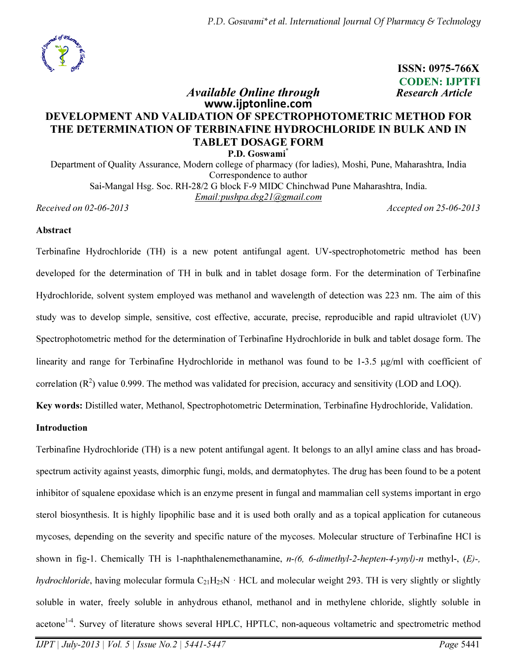

 ISSN: 0975-766X CODEN: IJPTFI Available Online through Research Article

# www.ijptonline.com DEVELOPMENT AND VALIDATION OF SPECTROPHOTOMETRIC METHOD FOR THE DETERMINATION OF TERBINAFINE HYDROCHLORIDE IN BULK AND IN TABLET DOSAGE FORM

P.D. Goswami<sup>\*</sup>

Department of Quality Assurance, Modern college of pharmacy (for ladies), Moshi, Pune, Maharashtra, India Correspondence to author Sai-Mangal Hsg. Soc. RH-28/2 G block F-9 MIDC Chinchwad Pune Maharashtra, India. *Email:pushpa.dsg21@gmail.com*

*Received on 02-06-2013 Accepted on 25-06-2013*

#### Abstract

Terbinafine Hydrochloride (TH) is a new potent antifungal agent. UV-spectrophotometric method has been developed for the determination of TH in bulk and in tablet dosage form. For the determination of Terbinafine Hydrochloride, solvent system employed was methanol and wavelength of detection was 223 nm. The aim of this study was to develop simple, sensitive, cost effective, accurate, precise, reproducible and rapid ultraviolet (UV) Spectrophotometric method for the determination of Terbinafine Hydrochloride in bulk and tablet dosage form. The linearity and range for Terbinafine Hydrochloride in methanol was found to be 1-3.5 µg/ml with coefficient of correlation  $(R^2)$  value 0.999. The method was validated for precision, accuracy and sensitivity (LOD and LOQ).

Key words: Distilled water, Methanol, Spectrophotometric Determination, Terbinafine Hydrochloride, Validation.

### Introduction

acetone<sup>1-4</sup>. Survey of literature shows several HPLC, HPTLC, non-aqueous voltametric and spectrometric method Terbinafine Hydrochloride (TH) is a new potent antifungal agent. It belongs to an allyl amine class and has broadspectrum activity against yeasts, dimorphic fungi, molds, and dermatophytes. The drug has been found to be a potent inhibitor of squalene epoxidase which is an enzyme present in fungal and mammalian cell systems important in ergo sterol biosynthesis. It is highly lipophilic base and it is used both orally and as a topical application for cutaneous mycoses, depending on the severity and specific nature of the mycoses. Molecular structure of Terbinafine HCl is shown in fig-1. Chemically TH is 1-naphthalenemethanamine, *n-(6, 6-dimethyl-2-hepten-4-ynyl)-n* methyl-, (*E)-, hydrochloride*, having molecular formula  $C_{21}H_{25}N \cdot HCL$  and molecular weight 293. TH is very slightly or slightly soluble in water, freely soluble in anhydrous ethanol, methanol and in methylene chloride, slightly soluble in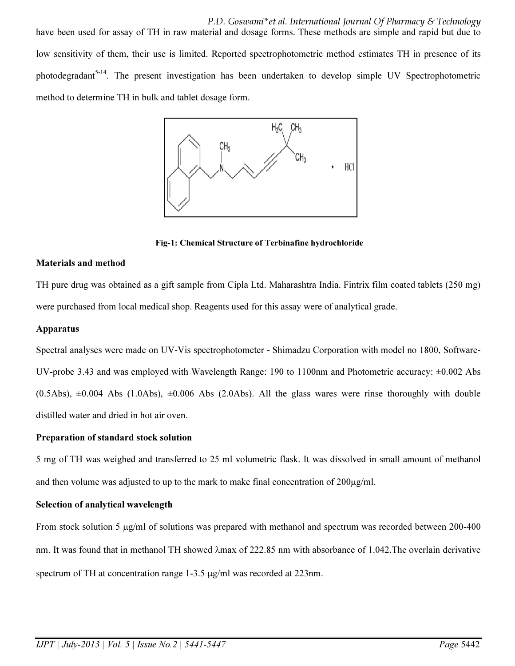P.D. Goswami\*et al. International Journal Of Pharmacy & Technology have been used for assay of TH in raw material and dosage forms. These methods are simple and rapid but due to low sensitivity of them, their use is limited. Reported spectrophotometric method estimates TH in presence of its photodegradant<sup>5-14</sup>. The present investigation has been undertaken to develop simple UV Spectrophotometric method to determine TH in bulk and tablet dosage form.



Fig-1: Chemical Structure of Terbinafine hydrochloride

### Materials and method

TH pure drug was obtained as a gift sample from Cipla Ltd. Maharashtra India. Fintrix film coated tablets (250 mg) were purchased from local medical shop. Reagents used for this assay were of analytical grade.

### Apparatus

Spectral analyses were made on UV-Vis spectrophotometer - Shimadzu Corporation with model no 1800, Software-UV-probe 3.43 and was employed with Wavelength Range: 190 to 1100nm and Photometric accuracy: ±0.002 Abs  $(0.5Abs)$ ,  $\pm 0.004$  Abs (1.0Abs),  $\pm 0.006$  Abs (2.0Abs). All the glass wares were rinse thoroughly with double distilled water and dried in hot air oven.

# Preparation of standard stock solution

5 mg of TH was weighed and transferred to 25 ml volumetric flask. It was dissolved in small amount of methanol and then volume was adjusted to up to the mark to make final concentration of  $200\mu\text{g/ml}$ .

# Selection of analytical wavelength

From stock solution 5  $\mu$ g/ml of solutions was prepared with methanol and spectrum was recorded between 200-400 nm. It was found that in methanol TH showed λmax of 222.85 nm with absorbance of 1.042.The overlain derivative spectrum of TH at concentration range 1-3.5 µg/ml was recorded at 223nm.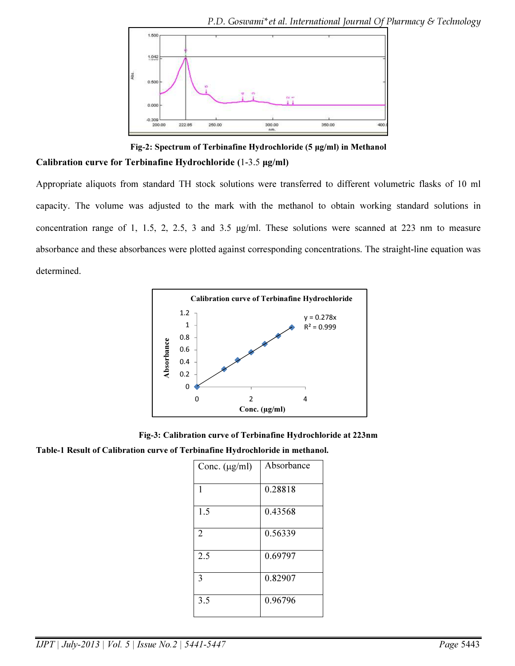

Fig-2: Spectrum of Terbinafine Hydrochloride (5 µg/ml) in Methanol Calibration curve for Terbinafine Hydrochloride (1-3.5 µg/ml)

Appropriate aliquots from standard TH stock solutions were transferred to different volumetric flasks of 10 ml capacity. The volume was adjusted to the mark with the methanol to obtain working standard solutions in concentration range of 1, 1.5, 2, 2.5, 3 and 3.5 µg/ml. These solutions were scanned at 223 nm to measure absorbance and these absorbances were plotted against corresponding concentrations. The straight-line equation was determined.



Fig-3: Calibration curve of Terbinafine Hydrochloride at 223nm

Table-1 Result of Calibration curve of Terbinafine Hydrochloride in methanol.

| Conc. $(\mu g/ml)$ | Absorbance |
|--------------------|------------|
| 1                  | 0.28818    |
| 1.5                | 0.43568    |
| $\overline{2}$     | 0.56339    |
| 2.5                | 0.69797    |
| 3                  | 0.82907    |
| 3.5                | 0.96796    |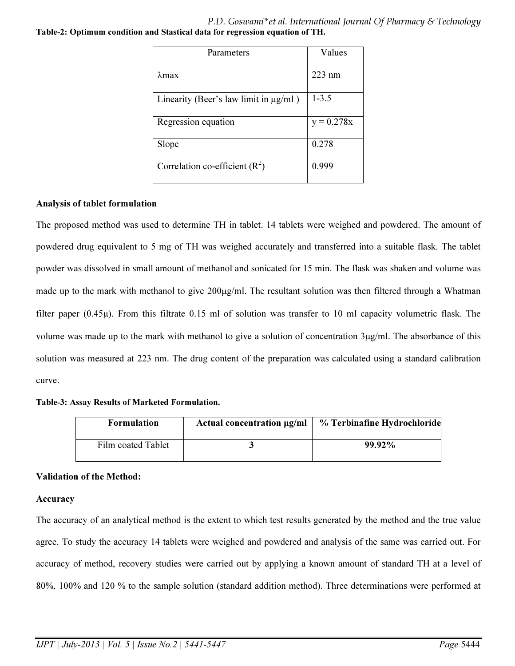P.D. Goswami\*et al. International Journal Of Pharmacy & Technology Table-2: Optimum condition and Stastical data for regression equation of TH.

| Parameters                                 | Values       |
|--------------------------------------------|--------------|
|                                            |              |
| $\lambda$ max                              | 223 nm       |
|                                            |              |
| Linearity (Beer's law limit in $\mu$ g/ml) | $1 - 3.5$    |
|                                            |              |
| Regression equation                        | $y = 0.278x$ |
|                                            |              |
| Slope                                      | 0.278        |
|                                            |              |
| Correlation co-efficient $(R^2)$           | 0.999        |
|                                            |              |

### Analysis of tablet formulation

The proposed method was used to determine TH in tablet. 14 tablets were weighed and powdered. The amount of powdered drug equivalent to 5 mg of TH was weighed accurately and transferred into a suitable flask. The tablet powder was dissolved in small amount of methanol and sonicated for 15 min. The flask was shaken and volume was made up to the mark with methanol to give 200µg/ml. The resultant solution was then filtered through a Whatman filter paper (0.45µ). From this filtrate 0.15 ml of solution was transfer to 10 ml capacity volumetric flask. The volume was made up to the mark with methanol to give a solution of concentration  $3\mu g/ml$ . The absorbance of this solution was measured at 223 nm. The drug content of the preparation was calculated using a standard calibration curve.

#### Table-3: Assay Results of Marketed Formulation.

| <b>Formulation</b> | Actual concentration $\mu$ g/ml | % Terbinafine Hydrochloride |
|--------------------|---------------------------------|-----------------------------|
| Film coated Tablet |                                 | 99.92%                      |

# Validation of the Method:

#### Accuracy

The accuracy of an analytical method is the extent to which test results generated by the method and the true value agree. To study the accuracy 14 tablets were weighed and powdered and analysis of the same was carried out. For accuracy of method, recovery studies were carried out by applying a known amount of standard TH at a level of 80%, 100% and 120 % to the sample solution (standard addition method). Three determinations were performed at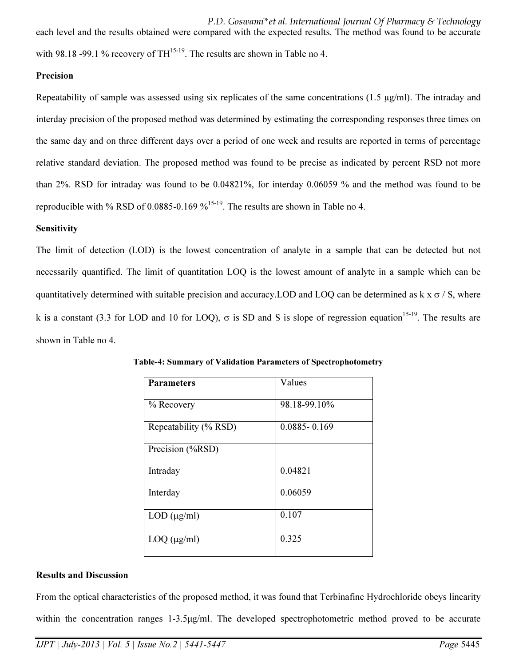P.D. Goswami\*et al. International Journal Of Pharmacy & Technology each level and the results obtained were compared with the expected results. The method was found to be accurate with 98.18 -99.1 % recovery of  $TH^{15-19}$ . The results are shown in Table no 4.

# **Precision**

Repeatability of sample was assessed using six replicates of the same concentrations (1.5 µg/ml). The intraday and interday precision of the proposed method was determined by estimating the corresponding responses three times on the same day and on three different days over a period of one week and results are reported in terms of percentage relative standard deviation. The proposed method was found to be precise as indicated by percent RSD not more than 2%. RSD for intraday was found to be 0.04821%, for interday 0.06059 % and the method was found to be reproducible with % RSD of 0.0885-0.169  $\frac{\%^{15-19}}{\%}$ . The results are shown in Table no 4.

# **Sensitivity**

The limit of detection (LOD) is the lowest concentration of analyte in a sample that can be detected but not necessarily quantified. The limit of quantitation LOQ is the lowest amount of analyte in a sample which can be quantitatively determined with suitable precision and accuracy. LOD and LOQ can be determined as  $k \times \sigma / S$ , where k is a constant (3.3 for LOD and 10 for LOQ),  $\sigma$  is SD and S is slope of regression equation<sup>15-19</sup>. The results are shown in Table no 4.

| <b>Parameters</b>     | Values           |
|-----------------------|------------------|
| % Recovery            | 98.18-99.10%     |
| Repeatability (% RSD) | $0.0885 - 0.169$ |
| Precision (%RSD)      |                  |
| Intraday              | 0.04821          |
| Interday              | 0.06059          |
| $LOD$ ( $\mu$ g/ml)   | 0.107            |
| $LOQ$ ( $\mu$ g/ml)   | 0.325            |

Table-4: Summary of Validation Parameters of Spectrophotometry

# Results and Discussion

From the optical characteristics of the proposed method, it was found that Terbinafine Hydrochloride obeys linearity within the concentration ranges 1-3.5µg/ml. The developed spectrophotometric method proved to be accurate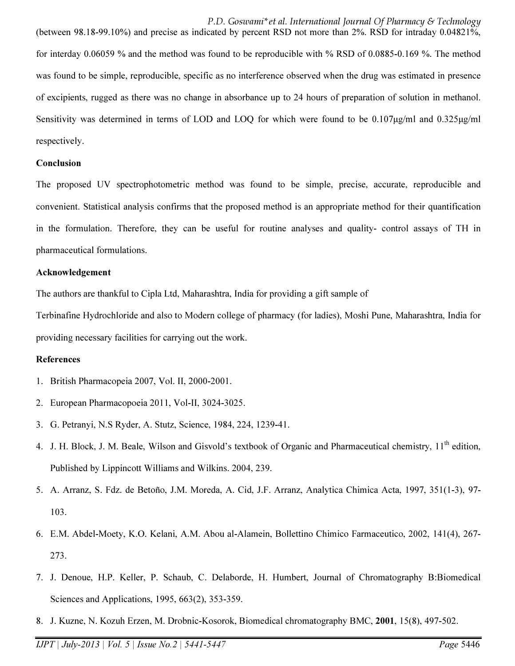P.D. Goswami\*et al. International Journal Of Pharmacy & Technology (between 98.18-99.10%) and precise as indicated by percent RSD not more than 2%. RSD for intraday 0.04821%, for interday 0.06059 % and the method was found to be reproducible with % RSD of 0.0885-0.169 %. The method was found to be simple, reproducible, specific as no interference observed when the drug was estimated in presence of excipients, rugged as there was no change in absorbance up to 24 hours of preparation of solution in methanol. Sensitivity was determined in terms of LOD and LOQ for which were found to be 0.107µg/ml and 0.325µg/ml respectively.

# Conclusion

The proposed UV spectrophotometric method was found to be simple, precise, accurate, reproducible and convenient. Statistical analysis confirms that the proposed method is an appropriate method for their quantification in the formulation. Therefore, they can be useful for routine analyses and quality- control assays of TH in pharmaceutical formulations.

### Acknowledgement

The authors are thankful to Cipla Ltd, Maharashtra, India for providing a gift sample of

Terbinafine Hydrochloride and also to Modern college of pharmacy (for ladies), Moshi Pune, Maharashtra, India for providing necessary facilities for carrying out the work.

#### References

- 1. British Pharmacopeia 2007, Vol. II, 2000-2001.
- 2. European Pharmacopoeia 2011, Vol-II, 3024-3025.
- 3. G. Petranyi, N.S Ryder, A. Stutz, Science, 1984, 224, 1239-41.
- 4. J. H. Block, J. M. Beale, Wilson and Gisvold's textbook of Organic and Pharmaceutical chemistry, 11<sup>th</sup> edition, Published by Lippincott Williams and Wilkins. 2004, 239.
- 5. A. Arranz, S. Fdz. de Betoño, J.M. Moreda, A. Cid, J.F. Arranz, Analytica Chimica Acta, 1997, 351(1-3), 97- 103.
- 6. E.M. Abdel-Moety, K.O. Kelani, A.M. Abou al-Alamein, Bollettino Chimico Farmaceutico, 2002, 141(4), 267- 273.
- 7. J. Denoue, H.P. Keller, P. Schaub, C. Delaborde, H. Humbert, Journal of Chromatography B:Biomedical Sciences and Applications, 1995, 663(2), 353-359.
- 8. J. Kuzne, N. Kozuh Erzen, M. Drobnic-Kosorok, Biomedical chromatography BMC, 2001, 15(8), 497-502.